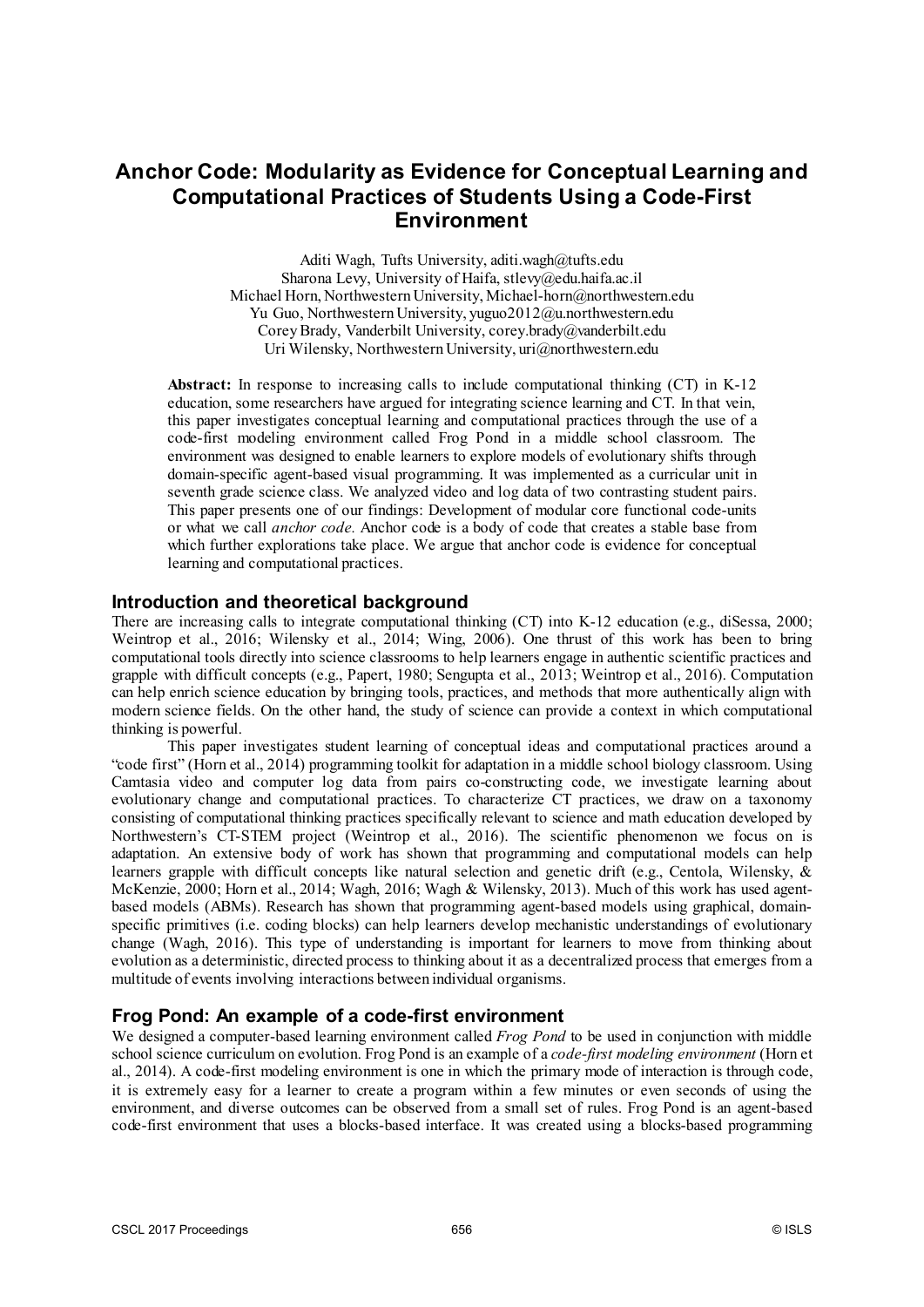# **Anchor Code: Modularity as Evidence for Conceptual Learning and Computational Practices of Students Using a Code-First Environment**

Aditi Wagh, Tufts University, aditi.wagh@tufts.edu Sharona Levy, University of Haifa, stlevy@edu.haifa.ac.il Michael Horn, Northwestern University, Michael-horn@northwestern.edu Yu Guo, Northwestern University, yuguo2012@u.northwestern.edu Corey Brady, Vanderbilt University, corey.brady@vanderbilt.edu Uri Wilensky, Northwestern University, uri@northwestern.edu

**Abstract:** In response to increasing calls to include computational thinking (CT) in K-12 education, some researchers have argued for integrating science learning and CT. In that vein, this paper investigates conceptual learning and computational practices through the use of a code-first modeling environment called Frog Pond in a middle school classroom. The environment was designed to enable learners to explore models of evolutionary shifts through domain-specific agent-based visual programming. It was implemented as a curricular unit in seventh grade science class. We analyzed video and log data of two contrasting student pairs. This paper presents one of our findings: Development of modular core functional code-units or what we call *anchor code.* Anchor code is a body of code that creates a stable base from which further explorations take place. We argue that anchor code is evidence for conceptual learning and computational practices.

### **Introduction and theoretical background**

There are increasing calls to integrate computational thinking (CT) into K-12 education (e.g., diSessa, 2000; Weintrop et al., 2016; Wilensky et al., 2014; Wing, 2006). One thrust of this work has been to bring computational tools directly into science classrooms to help learners engage in authentic scientific practices and grapple with difficult concepts (e.g., Papert, 1980; Sengupta et al., 2013; Weintrop et al., 2016). Computation can help enrich science education by bringing tools, practices, and methods that more authentically align with modern science fields. On the other hand, the study of science can provide a context in which computational thinking is powerful.

This paper investigates student learning of conceptual ideas and computational practices around a "code first" (Horn et al., 2014) programming toolkit for adaptation in a middle school biology classroom. Using Camtasia video and computer log data from pairs co-constructing code, we investigate learning about evolutionary change and computational practices. To characterize CT practices, we draw on a taxonomy consisting of computational thinking practices specifically relevant to science and math education developed by Northwestern's CT-STEM project (Weintrop et al., 2016). The scientific phenomenon we focus on is adaptation. An extensive body of work has shown that programming and computational models can help learners grapple with difficult concepts like natural selection and genetic drift (e.g., Centola, Wilensky, & McKenzie, 2000; Horn et al., 2014; Wagh, 2016; Wagh & Wilensky, 2013). Much of this work has used agentbased models (ABMs). Research has shown that programming agent-based models using graphical, domainspecific primitives (i.e. coding blocks) can help learners develop mechanistic understandings of evolutionary change (Wagh, 2016). This type of understanding is important for learners to move from thinking about evolution as a deterministic, directed process to thinking about it as a decentralized process that emerges from a multitude of events involving interactions between individual organisms.

# **Frog Pond: An example of a code-first environment**

We designed a computer-based learning environment called *Frog Pond* to be used in conjunction with middle school science curriculum on evolution. Frog Pond is an example of a *code-first modeling environment* (Horn et al., 2014). A code-first modeling environment is one in which the primary mode of interaction is through code, it is extremely easy for a learner to create a program within a few minutes or even seconds of using the environment, and diverse outcomes can be observed from a small set of rules. Frog Pond is an agent-based code-first environment that uses a blocks-based interface. It was created using a blocks-based programming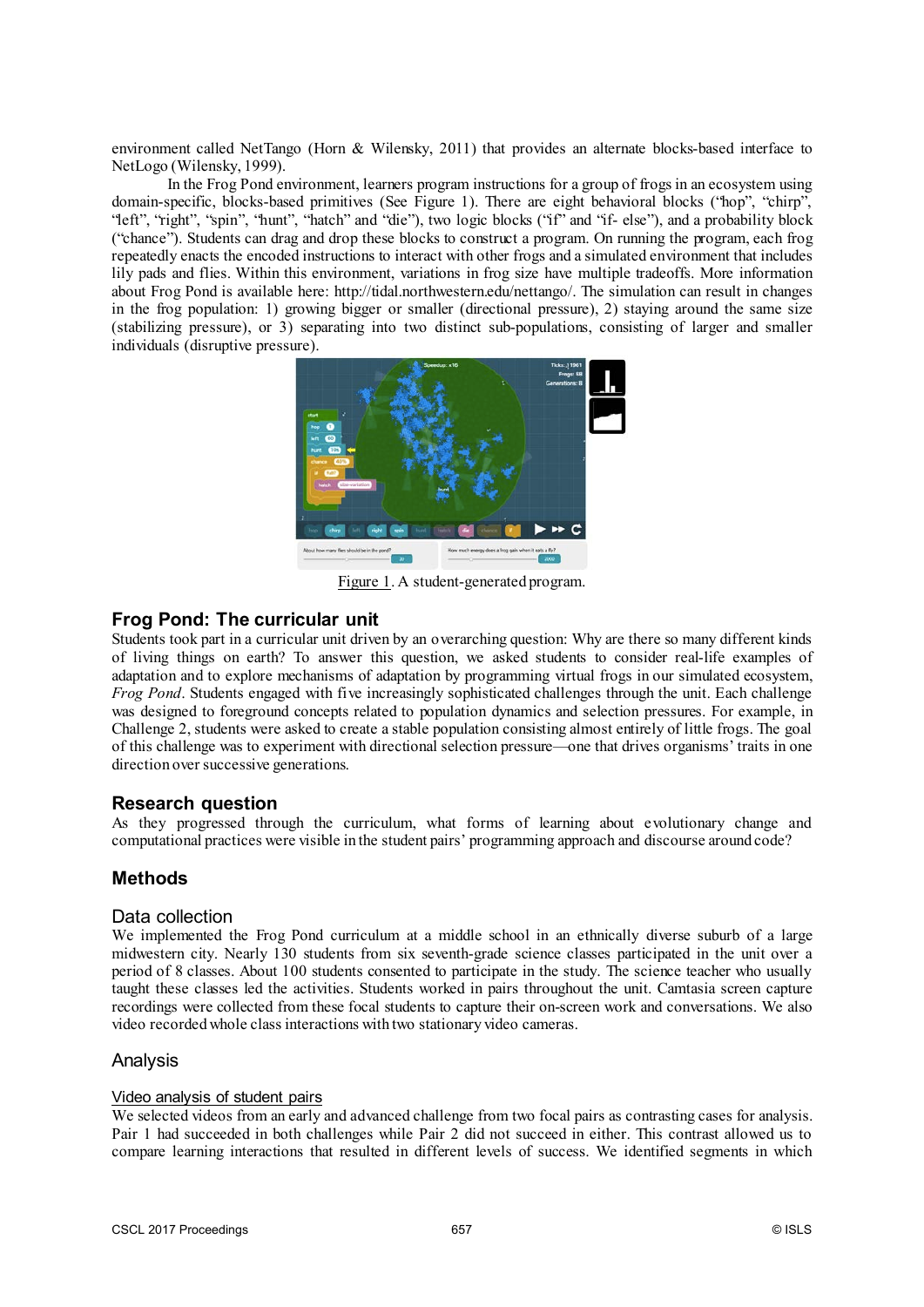environment called NetTango (Horn & Wilensky, 2011) that provides an alternate blocks-based interface to NetLogo (Wilensky, 1999).

In the Frog Pond environment, learners program instructions for a group of frogs in an ecosystem using domain-specific, blocks-based primitives (See Figure 1). There are eight behavioral blocks ("hop", "chirp", "left", "right", "spin", "hunt", "hatch" and "die"), two logic blocks ("if" and "if- else"), and a probability block ("chance"). Students can drag and drop these blocks to construct a program. On running the program, each frog repeatedly enacts the encoded instructions to interact with other frogs and a simulated environment that includes lily pads and flies. Within this environment, variations in frog size have multiple tradeoffs. More information about Frog Pond is available here: http://tidal.northwestern.edu/nettango/. The simulation can result in changes in the frog population: 1) growing bigger or smaller (directional pressure), 2) staying around the same size (stabilizing pressure), or 3) separating into two distinct sub-populations, consisting of larger and smaller individuals (disruptive pressure).



Figure 1. A student-generated program.

# **Frog Pond: The curricular unit**

Students took part in a curricular unit driven by an overarching question: Why are there so many different kinds of living things on earth? To answer this question, we asked students to consider real-life examples of adaptation and to explore mechanisms of adaptation by programming virtual frogs in our simulated ecosystem, *Frog Pond*. Students engaged with five increasingly sophisticated challenges through the unit. Each challenge was designed to foreground concepts related to population dynamics and selection pressures. For example, in Challenge 2, students were asked to create a stable population consisting almost entirely of little frogs. The goal of this challenge was to experiment with directional selection pressure—one that drives organisms' traits in one direction over successive generations.

# **Research question**

As they progressed through the curriculum, what forms of learning about evolutionary change and computational practices were visible in the student pairs' programming approach and discourse around code?

# **Methods**

### Data collection

We implemented the Frog Pond curriculum at a middle school in an ethnically diverse suburb of a large midwestern city. Nearly 130 students from six seventh-grade science classes participated in the unit over a period of 8 classes. About 100 students consented to participate in the study. The science teacher who usually taught these classes led the activities. Students worked in pairs throughout the unit. Camtasia screen capture recordings were collected from these focal students to capture their on-screen work and conversations. We also video recorded whole class interactions with two stationary video cameras.

# Analysis

### Video analysis of student pairs

We selected videos from an early and advanced challenge from two focal pairs as contrasting cases for analysis. Pair 1 had succeeded in both challenges while Pair 2 did not succeed in either. This contrast allowed us to compare learning interactions that resulted in different levels of success. We identified segments in which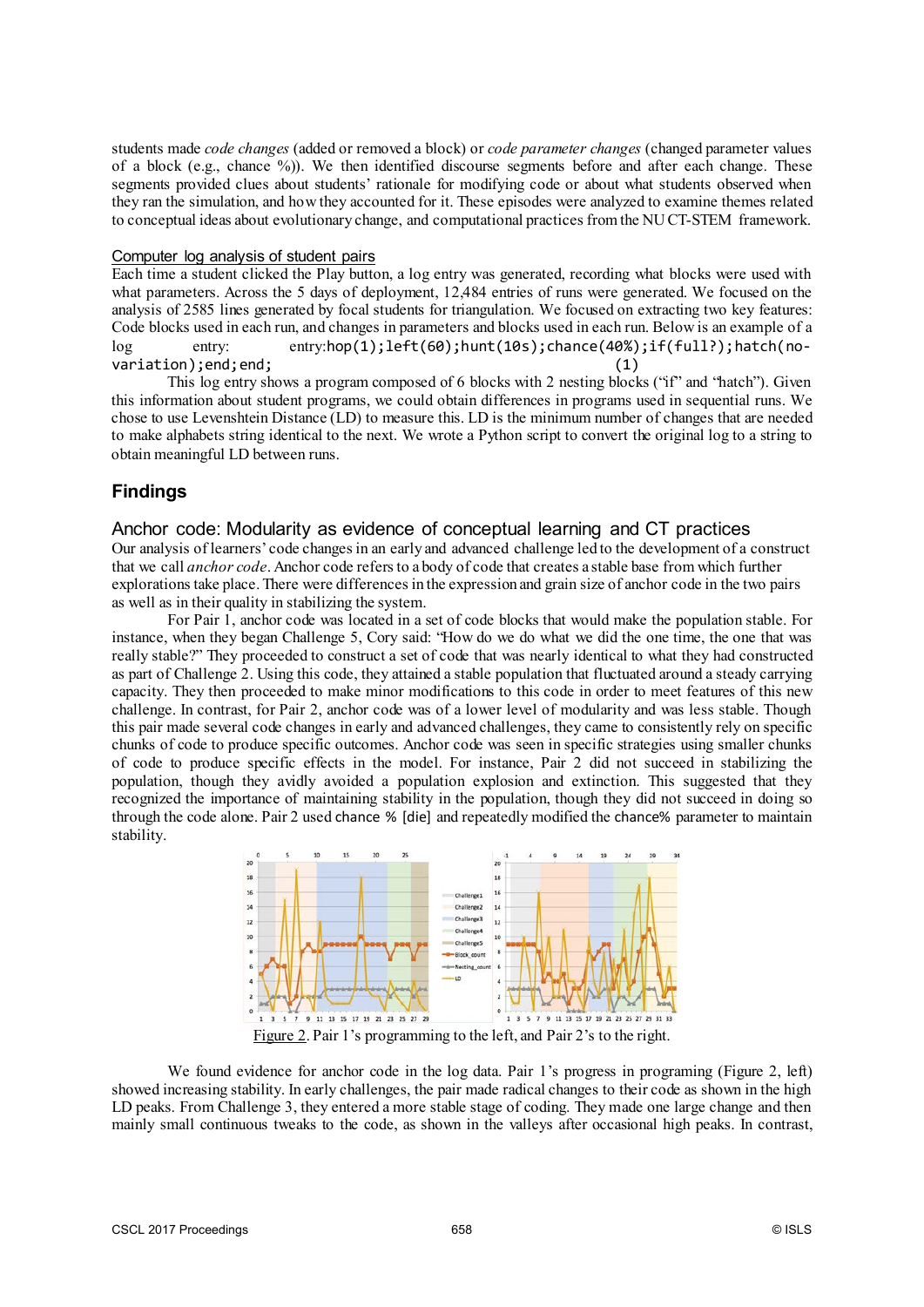students made *code changes* (added or removed a block) or *code parameter changes* (changed parameter values of a block (e.g., chance %)). We then identified discourse segments before and after each change. These segments provided clues about students' rationale for modifying code or about what students observed when they ran the simulation, and how they accounted for it. These episodes were analyzed to examine themes related to conceptual ideas about evolutionary change, and computational practices from the NU CT-STEM framework.

#### Computer log analysis of student pairs

Each time a student clicked the Play button, a log entry was generated, recording what blocks were used with what parameters. Across the 5 days of deployment, 12,484 entries of runs were generated. We focused on the analysis of 2585 lines generated by focal students for triangulation. We focused on extracting two key features: Code blocks used in each run, and changes in parameters and blocks used in each run. Below is an example of a log entry: entry:hop(1);left(60);hunt(10s);chance(40%);if(full?);hatch(novariation);end;end; (1)

This log entry shows a program composed of 6 blocks with 2 nesting blocks ("if" and "hatch"). Given this information about student programs, we could obtain differences in programs used in sequential runs. We chose to use Levenshtein Distance (LD) to measure this. LD is the minimum number of changes that are needed to make alphabets string identical to the next. We wrote a Python script to convert the original log to a string to obtain meaningful LD between runs.

# **Findings**

#### Anchor code: Modularity as evidence of conceptual learning and CT practices

Our analysis of learners' code changes in an early and advanced challenge led to the development of a construct that we call *anchor code*. Anchor code refers to a body of code that creates a stable base from which further explorations take place. There were differences in the expression and grain size of anchor code in the two pairs as well as in their quality in stabilizing the system.

For Pair 1, anchor code was located in a set of code blocks that would make the population stable. For instance, when they began Challenge 5, Cory said: "How do we do what we did the one time, the one that was really stable?" They proceeded to construct a set of code that was nearly identical to what they had constructed as part of Challenge 2. Using this code, they attained a stable population that fluctuated around a steady carrying capacity. They then proceeded to make minor modifications to this code in order to meet features of this new challenge. In contrast, for Pair 2, anchor code was of a lower level of modularity and was less stable. Though this pair made several code changes in early and advanced challenges, they came to consistently rely on specific chunks of code to produce specific outcomes. Anchor code was seen in specific strategies using smaller chunks of code to produce specific effects in the model. For instance, Pair 2 did not succeed in stabilizing the population, though they avidly avoided a population explosion and extinction. This suggested that they recognized the importance of maintaining stability in the population, though they did not succeed in doing so through the code alone. Pair 2 used chance % [die] and repeatedly modified the chance% parameter to maintain stability.



Figure 2. Pair 1's programming to the left, and Pair 2's to the right.

We found evidence for anchor code in the log data. Pair 1's progress in programing (Figure 2, left) showed increasing stability. In early challenges, the pair made radical changes to their code as shown in the high LD peaks. From Challenge 3, they entered a more stable stage of coding. They made one large change and then mainly small continuous tweaks to the code, as shown in the valleys after occasional high peaks. In contrast,